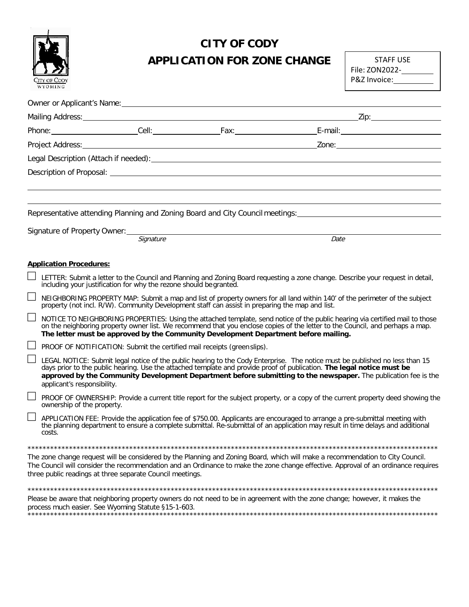

## **CITY OF CODY APPLICATION FOR ZONE CHANGE** STAFF USE

File: ZON2022- P&Z Invoice:

|                                |                                                                                                 | Representative attending Planning and Zoning Board and City Council meetings:                                                                                                                                                                                                                                                                                             |
|--------------------------------|-------------------------------------------------------------------------------------------------|---------------------------------------------------------------------------------------------------------------------------------------------------------------------------------------------------------------------------------------------------------------------------------------------------------------------------------------------------------------------------|
|                                |                                                                                                 |                                                                                                                                                                                                                                                                                                                                                                           |
|                                | Signature of Property Owner: Signature                                                          | Date                                                                                                                                                                                                                                                                                                                                                                      |
|                                |                                                                                                 |                                                                                                                                                                                                                                                                                                                                                                           |
| <b>Application Procedures:</b> |                                                                                                 |                                                                                                                                                                                                                                                                                                                                                                           |
|                                | including your justification for why the rezone should be granted.                              | LETTER: Submit a letter to the Council and Planning and Zoning Board requesting a zone change. Describe your request in detail,                                                                                                                                                                                                                                           |
|                                | property (not incl. R/W). Community Development staff can assist in preparing the map and list. | NEIGHBORING PROPERTY MAP: Submit a map and list of property owners for all land within 140' of the perimeter of the subject                                                                                                                                                                                                                                               |
|                                | The letter must be approved by the Community Development Department before mailing.             | NOTICE TO NEIGHBORING PROPERTIES: Using the attached template, send notice of the public hearing via certified mail to those<br>on the neighboring property owner list. We recommend that you enclose copies of the letter to the Council, and perhaps a map.                                                                                                             |
|                                | PROOF OF NOTIFICATION: Submit the certified mail receipts (green slips).                        |                                                                                                                                                                                                                                                                                                                                                                           |
| applicant's responsibility.    |                                                                                                 | LEGAL NOTICE: Submit legal notice of the public hearing to the Cody Enterprise. The notice must be published no less than 15<br>days prior to the public hearing. Use the attached template and provide proof of publication. The legal notice must be<br>approved by the Community Development Department before submitting to the newspaper. The publication fee is the |
| ownership of the property.     |                                                                                                 | PROOF OF OWNERSHIP: Provide a current title report for the subject property, or a copy of the current property deed showing the                                                                                                                                                                                                                                           |
| costs.                         |                                                                                                 | APPLICATION FEE: Provide the application fee of \$750.00. Applicants are encouraged to arrange a pre-submittal meeting with<br>the planning department to ensure a complete submittal. Re-submittal of an application may result in time delays and additional                                                                                                            |
|                                |                                                                                                 |                                                                                                                                                                                                                                                                                                                                                                           |
|                                | three public readings at three separate Council meetings.                                       | The zone change request will be considered by the Planning and Zoning Board, which will make a recommendation to City Council.<br>The Council will consider the recommendation and an Ordinance to make the zone change effective. Approval of an ordinance requires                                                                                                      |
|                                |                                                                                                 |                                                                                                                                                                                                                                                                                                                                                                           |
|                                |                                                                                                 | Please be aware that neighboring property owners do not need to be in agreement with the zone change; however, it makes the                                                                                                                                                                                                                                               |

process much easier. See Wyoming Statute §15-1-603. \*\*\*\*\*\*\*\*\*\*\*\*\*\*\*\*\*\*\*\*\*\*\*\*\*\*\*\*\*\*\*\*\*\*\*\*\*\*\*\*\*\*\*\*\*\*\*\*\*\*\*\*\*\*\*\*\*\*\*\*\*\*\*\*\*\*\*\*\*\*\*\*\*\*\*\*\*\*\*\*\*\*\*\*\*\*\*\*\*\*\*\*\*\*\*\*\*\*\*\*\*\*\*\*\*\*\*\*\*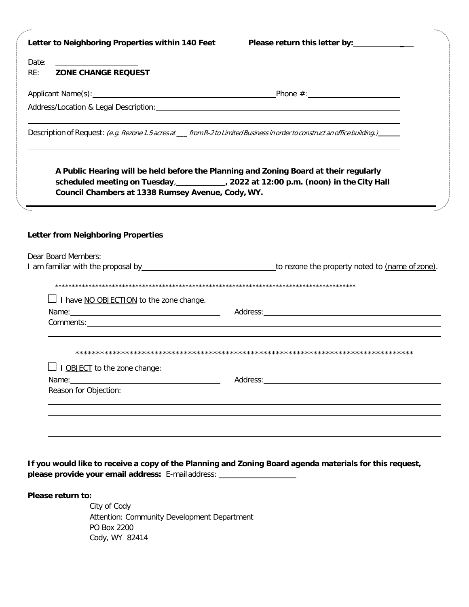| Letter to Neighboring Properties within 140 Feet  |                                                                                                                                                                                                                                                                                                                                                                                                         |
|---------------------------------------------------|---------------------------------------------------------------------------------------------------------------------------------------------------------------------------------------------------------------------------------------------------------------------------------------------------------------------------------------------------------------------------------------------------------|
| Date:                                             |                                                                                                                                                                                                                                                                                                                                                                                                         |
| RE:<br><b>ZONE CHANGE REQUEST</b>                 |                                                                                                                                                                                                                                                                                                                                                                                                         |
|                                                   |                                                                                                                                                                                                                                                                                                                                                                                                         |
|                                                   | Address/Location & Legal Description: Manual Address Address/Location & Legal Description:                                                                                                                                                                                                                                                                                                              |
|                                                   | Description of Request: (e.g. Rezone 1.5 acres at __from R-2 to Limited Business in order to construct an office building.)                                                                                                                                                                                                                                                                             |
| Council Chambers at 1338 Rumsey Avenue, Cody, WY. | the control of the control of the control of the control of the control of the control of the control of the control of the control of the control of the control of the control of the control of the control of the control<br>A Public Hearing will be held before the Planning and Zoning Board at their regularly<br>scheduled meeting on Tuesday, 1000 2022 at 12:00 p.m. (noon) in the City Hall |
| <b>Letter from Neighboring Properties</b>         |                                                                                                                                                                                                                                                                                                                                                                                                         |
| Dear Board Members:                               |                                                                                                                                                                                                                                                                                                                                                                                                         |
|                                                   |                                                                                                                                                                                                                                                                                                                                                                                                         |
|                                                   |                                                                                                                                                                                                                                                                                                                                                                                                         |
|                                                   |                                                                                                                                                                                                                                                                                                                                                                                                         |
| $\perp$ I have NO OBJECTION to the zone change.   |                                                                                                                                                                                                                                                                                                                                                                                                         |
|                                                   |                                                                                                                                                                                                                                                                                                                                                                                                         |
| I OBJECT to the zone change:                      |                                                                                                                                                                                                                                                                                                                                                                                                         |
| Name:                                             | Address:                                                                                                                                                                                                                                                                                                                                                                                                |
| Reason for Objection:                             |                                                                                                                                                                                                                                                                                                                                                                                                         |
|                                                   |                                                                                                                                                                                                                                                                                                                                                                                                         |
|                                                   |                                                                                                                                                                                                                                                                                                                                                                                                         |

If you would like to receive a copy of the Planning and Zoning Board agenda materials for this request, **please provide your email address:** E-mail address:

**Please return to:**

City of Cody Attention: Community Development Department PO Box 2200 Cody, WY 82414